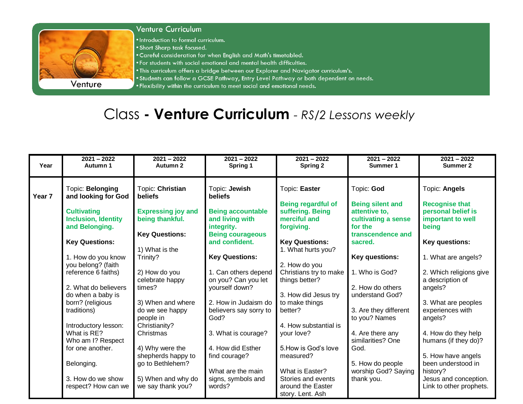

## **Venture Curriculum**

. Introduction to formal curriculum.

- . Short Sharp task focused.
- . Careful consideration for when English and Math's timetabled.
- . For students with social emotional and mental health difficulties.
- . This curriculum offers a bridge between our Explorer and Navigator curriculum's.
- . Students can follow a GCSE Pathway, Entry Level Pathway or both dependent on needs.
- . Flexibility within the curriculum to meet social and emotional needs.

## Class - Venture Curriculum - RS/2 Lessons weekly

| Year              | $2021 - 2022$<br>Autumn 1               | $2021 - 2022$<br>Autumn 2        | $2021 - 2022$<br>Spring 1                   | $2021 - 2022$<br><b>Spring 2</b>         | $2021 - 2022$<br>Summer 1         | $2021 - 2022$<br>Summer 2                   |
|-------------------|-----------------------------------------|----------------------------------|---------------------------------------------|------------------------------------------|-----------------------------------|---------------------------------------------|
|                   |                                         |                                  |                                             |                                          |                                   |                                             |
| Year <sub>7</sub> | Topic: Belonging<br>and looking for God | Topic: Christian<br>beliefs      | Topic: Jewish<br><b>beliefs</b>             | Topic: Easter                            | Topic: God                        | Topic: Angels                               |
|                   |                                         |                                  |                                             | <b>Being regardful of</b>                | <b>Being silent and</b>           | <b>Recognise that</b>                       |
|                   | <b>Cultivating</b>                      | <b>Expressing joy and</b>        | <b>Being accountable</b>                    | suffering. Being                         | attentive to,                     | personal belief is                          |
|                   | <b>Inclusion, Identity</b>              | being thankful.                  | and living with                             | merciful and                             | cultivating a sense               | important to well                           |
|                   | and Belonging.                          |                                  | integrity.                                  | forgiving.                               | for the                           | being                                       |
|                   |                                         | <b>Key Questions:</b>            | <b>Being courageous</b>                     |                                          | transcendence and                 |                                             |
|                   | <b>Key Questions:</b>                   |                                  | and confident.                              | <b>Key Questions:</b>                    | sacred.                           | Key questions:                              |
|                   |                                         | 1) What is the                   |                                             | 1. What hurts you?                       |                                   |                                             |
|                   | 1. How do you know                      | Trinity?                         | <b>Key Questions:</b>                       |                                          | <b>Key questions:</b>             | 1. What are angels?                         |
|                   | you belong? (faith                      |                                  |                                             | 2. How do you                            |                                   |                                             |
|                   | reference 6 faiths)                     | 2) How do you<br>celebrate happy | 1. Can others depend<br>on you? Can you let | Christians try to make<br>things better? | 1. Who is God?                    | 2. Which religions give<br>a description of |
|                   | 2. What do believers                    | times?                           | yourself down?                              |                                          | 2. How do others                  | angels?                                     |
|                   | do when a baby is                       |                                  |                                             | 3. How did Jesus try                     | understand God?                   |                                             |
|                   | born? (religious                        | 3) When and where                | 2. How in Judaism do                        | to make things                           |                                   | 3. What are peoples                         |
|                   | traditions)                             | do we see happy                  | believers say sorry to                      | better?                                  | 3. Are they different             | experiences with                            |
|                   |                                         | people in                        | God?                                        |                                          | to you? Names                     | angels?                                     |
|                   | Introductory lesson:                    | Christianity?                    |                                             | 4. How substantial is                    |                                   |                                             |
|                   | What is RE?                             | Christmas                        | 3. What is courage?                         | your love?                               | 4. Are there any                  | 4. How do they help                         |
|                   | Who am I? Respect                       |                                  |                                             |                                          | similarities? One                 | humans (if they do)?                        |
|                   | for one another.                        | 4) Why were the                  | 4. How did Esther                           | 5. How is God's love                     | God.                              |                                             |
|                   |                                         | shepherds happy to               | find courage?                               | measured?                                |                                   | 5. How have angels                          |
|                   | Belonging.                              | go to Bethlehem?                 |                                             | What is Easter?                          | 5. How do people                  | been understood in                          |
|                   | 3. How do we show                       | 5) When and why do               | What are the main                           | Stories and events                       | worship God? Saying<br>thank you. | history?<br>Jesus and conception.           |
|                   | respect? How can we                     | we say thank you?                | signs, symbols and<br>words?                | around the Easter                        |                                   | Link to other prophets.                     |
|                   |                                         |                                  |                                             | story. Lent. Ash                         |                                   |                                             |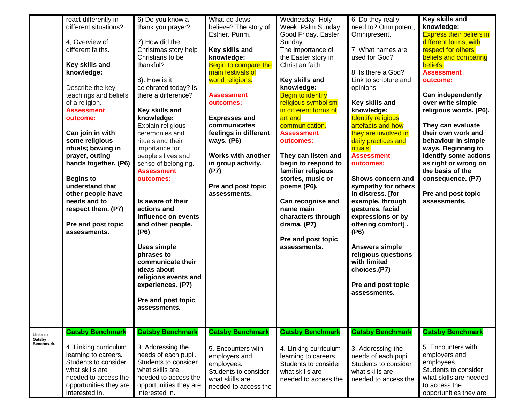|                    | react differently in<br>different situations?<br>4, Overview of<br>different faiths.<br>Key skills and<br>knowledge:<br>Describe the key<br>teachings and beliefs<br>of a religion.<br><b>Assessment</b><br>outcome:<br>Can join in with<br>some religious<br>rituals; bowing in<br>prayer, outing<br>hands together. (P6)<br><b>Begins to</b><br>understand that<br>other people have<br>needs and to<br>respect them. (P7)<br>Pre and post topic<br>assessments. | 6) Do you know a<br>thank you prayer?<br>7) How did the<br>Christmas story help<br>Christians to be<br>thankful?<br>8). How is it<br>celebrated today? Is<br>there a difference?<br>Key skills and<br>knowledge:<br>Explain religious<br>ceremonies and<br>rituals and their<br>importance for<br>people's lives and<br>sense of belonging.<br><b>Assessment</b><br>outcomes:<br>Is aware of their<br>actions and<br>influence on events<br>and other people.<br>(P6)<br><b>Uses simple</b><br>phrases to<br>communicate their<br>ideas about<br>religions events and<br>experiences. (P7)<br>Pre and post topic<br>assessments. | What do Jews<br>believe? The story of<br>Esther. Purim.<br>Key skills and<br>knowledge:<br>Begin to compare the<br>main festivals of<br>world religions.<br><b>Assessment</b><br>outcomes:<br><b>Expresses and</b><br>communicates<br>feelings in different<br>ways. (P6)<br><b>Works with another</b><br>in group activity.<br>(P7)<br>Pre and post topic<br>assessments. | Wednesday. Holy<br>Week. Palm Sunday.<br>Good Friday. Easter<br>Sunday.<br>The importance of<br>the Easter story in<br>Christian faith.<br>Key skills and<br>knowledge:<br><b>Begin to identify</b><br>religious symbolism<br>in different forms of<br>art and<br>communication.<br><b>Assessment</b><br>outcomes:<br>They can listen and<br>begin to respond to<br>familiar religious<br>stories, music or<br>poems (P6).<br>Can recognise and<br>name main<br>characters through<br>drama. (P7)<br>Pre and post topic<br>assessments. | 6. Do they really<br>need to? Omnipotent,<br>Omnipresent.<br>7. What names are<br>used for God?<br>8. Is there a God?<br>Link to scripture and<br>opinions.<br>Key skills and<br>knowledge:<br><b>Identify religious</b><br>artefacts and how<br>they are involved in<br>daily practices and<br>rituals.<br><b>Assessment</b><br>outcomes:<br>Shows concern and<br>sympathy for others<br>in distress. [for<br>example, through<br>gestures, facial<br>expressions or by<br>offering comfort].<br>(P6)<br><b>Answers simple</b><br>religious questions<br>with limited<br>choices.(P7)<br>Pre and post topic<br>assessments. | Key skills and<br>knowledge:<br><b>Express their beliefs in</b><br>different forms, with<br>respect for others'<br>beliefs and comparing<br>beliefs.<br><b>Assessment</b><br>outcome:<br><b>Can independently</b><br>over write simple<br>religious words. (P6).<br>They can evaluate<br>their own work and<br>behaviour in simple<br>ways. Beginning to<br>identify some actions<br>as right or wrong on<br>the basis of the<br>consequence. (P7)<br>Pre and post topic<br>assessments. |
|--------------------|--------------------------------------------------------------------------------------------------------------------------------------------------------------------------------------------------------------------------------------------------------------------------------------------------------------------------------------------------------------------------------------------------------------------------------------------------------------------|----------------------------------------------------------------------------------------------------------------------------------------------------------------------------------------------------------------------------------------------------------------------------------------------------------------------------------------------------------------------------------------------------------------------------------------------------------------------------------------------------------------------------------------------------------------------------------------------------------------------------------|----------------------------------------------------------------------------------------------------------------------------------------------------------------------------------------------------------------------------------------------------------------------------------------------------------------------------------------------------------------------------|-----------------------------------------------------------------------------------------------------------------------------------------------------------------------------------------------------------------------------------------------------------------------------------------------------------------------------------------------------------------------------------------------------------------------------------------------------------------------------------------------------------------------------------------|------------------------------------------------------------------------------------------------------------------------------------------------------------------------------------------------------------------------------------------------------------------------------------------------------------------------------------------------------------------------------------------------------------------------------------------------------------------------------------------------------------------------------------------------------------------------------------------------------------------------------|------------------------------------------------------------------------------------------------------------------------------------------------------------------------------------------------------------------------------------------------------------------------------------------------------------------------------------------------------------------------------------------------------------------------------------------------------------------------------------------|
| Links to<br>Gatsby | <b>Gatsby Benchmark</b>                                                                                                                                                                                                                                                                                                                                                                                                                                            | <b>Gatsby Benchmark</b>                                                                                                                                                                                                                                                                                                                                                                                                                                                                                                                                                                                                          | <b>Gatsby Benchmark</b>                                                                                                                                                                                                                                                                                                                                                    | <b>Gatsby Benchmark</b>                                                                                                                                                                                                                                                                                                                                                                                                                                                                                                                 | <b>Gatsby Benchmark</b>                                                                                                                                                                                                                                                                                                                                                                                                                                                                                                                                                                                                      | <b>Gatsby Benchmark</b>                                                                                                                                                                                                                                                                                                                                                                                                                                                                  |
| Benchmark.         | 4. Linking curriculum<br>learning to careers.<br>Students to consider<br>what skills are<br>needed to access the<br>opportunities they are<br>interested in.                                                                                                                                                                                                                                                                                                       | 3. Addressing the<br>needs of each pupil.<br>Students to consider<br>what skills are<br>needed to access the<br>opportunities they are<br>interested in.                                                                                                                                                                                                                                                                                                                                                                                                                                                                         | 5. Encounters with<br>employers and<br>employees.<br>Students to consider<br>what skills are<br>needed to access the                                                                                                                                                                                                                                                       | 4. Linking curriculum<br>learning to careers.<br>Students to consider<br>what skills are<br>needed to access the                                                                                                                                                                                                                                                                                                                                                                                                                        | 3. Addressing the<br>needs of each pupil.<br>Students to consider<br>what skills are<br>needed to access the                                                                                                                                                                                                                                                                                                                                                                                                                                                                                                                 | 5. Encounters with<br>employers and<br>employees.<br>Students to consider<br>what skills are needed<br>to access the<br>opportunities they are                                                                                                                                                                                                                                                                                                                                           |